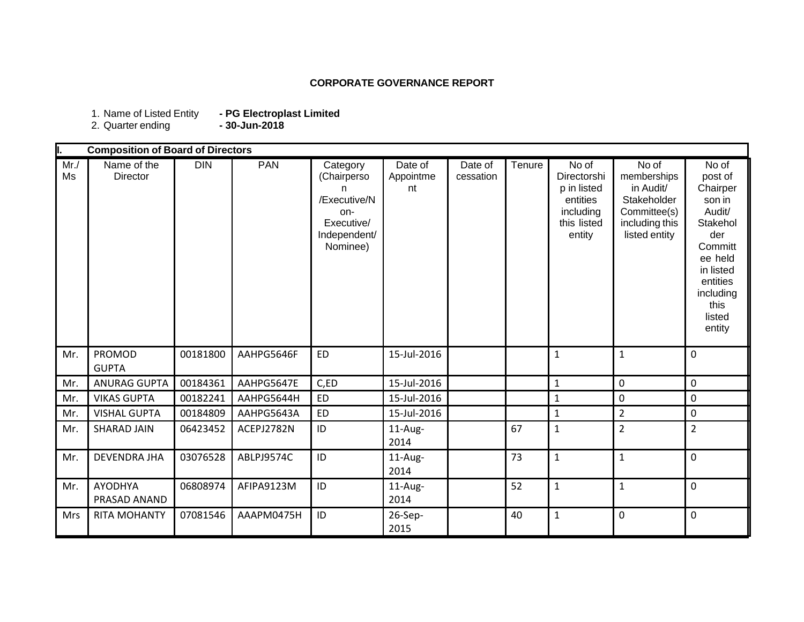## **CORPORATE GOVERNANCE REPORT**

1. Name of Listed Entity **- PG Electroplast Limited** 1. Name of Listed Entity<br>2. Quarter ending

|           | <b>Composition of Board of Directors</b> |            |            |                                                                                               |                            |                      |        |                                                                                       |                                                                                                     |                                                                                                                                                             |
|-----------|------------------------------------------|------------|------------|-----------------------------------------------------------------------------------------------|----------------------------|----------------------|--------|---------------------------------------------------------------------------------------|-----------------------------------------------------------------------------------------------------|-------------------------------------------------------------------------------------------------------------------------------------------------------------|
| Mr.<br>Ms | Name of the<br><b>Director</b>           | <b>DIN</b> | <b>PAN</b> | Category<br>(Chairperso<br>n<br>/Executive/N<br>on-<br>Executive/<br>Independent/<br>Nominee) | Date of<br>Appointme<br>nt | Date of<br>cessation | Tenure | No of<br>Directorshi<br>p in listed<br>entities<br>including<br>this listed<br>entity | No of<br>memberships<br>in Audit/<br>Stakeholder<br>Committee(s)<br>including this<br>listed entity | No of<br>post of<br>Chairper<br>son in<br>Audit/<br>Stakehol<br>der<br>Committ<br>ee held<br>in listed<br>entities<br>including<br>this<br>listed<br>entity |
| Mr.       | PROMOD<br><b>GUPTA</b>                   | 00181800   | AAHPG5646F | <b>ED</b>                                                                                     | 15-Jul-2016                |                      |        | $\mathbf{1}$                                                                          | $\mathbf{1}$                                                                                        | $\mathbf 0$                                                                                                                                                 |
| Mr.       | <b>ANURAG GUPTA</b>                      | 00184361   | AAHPG5647E | C,ED                                                                                          | 15-Jul-2016                |                      |        | $\mathbf{1}$                                                                          | $\mathbf 0$                                                                                         | $\mathbf 0$                                                                                                                                                 |
| Mr.       | <b>VIKAS GUPTA</b>                       | 00182241   | AAHPG5644H | <b>ED</b>                                                                                     | 15-Jul-2016                |                      |        | $\mathbf{1}$                                                                          | $\mathbf 0$                                                                                         | $\mathbf 0$                                                                                                                                                 |
| Mr.       | <b>VISHAL GUPTA</b>                      | 00184809   | AAHPG5643A | <b>ED</b>                                                                                     | 15-Jul-2016                |                      |        | $\mathbf 1$                                                                           | $\overline{2}$                                                                                      | $\mathbf 0$                                                                                                                                                 |
| Mr.       | <b>SHARAD JAIN</b>                       | 06423452   | ACEPJ2782N | ID                                                                                            | 11-Aug-<br>2014            |                      | 67     | $\mathbf{1}$                                                                          | $\overline{2}$                                                                                      | $\overline{2}$                                                                                                                                              |
| Mr.       | <b>DEVENDRA JHA</b>                      | 03076528   | ABLPJ9574C | ID                                                                                            | 11-Aug-<br>2014            |                      | 73     | $\mathbf{1}$                                                                          | $\mathbf{1}$                                                                                        | $\mathbf 0$                                                                                                                                                 |
| Mr.       | <b>AYODHYA</b><br>PRASAD ANAND           | 06808974   | AFIPA9123M | ID                                                                                            | $11$ -Aug-<br>2014         |                      | 52     | $\mathbf{1}$                                                                          | $\mathbf{1}$                                                                                        | $\mathbf 0$                                                                                                                                                 |
| Mrs       | <b>RITA MOHANTY</b>                      | 07081546   | AAAPM0475H | ID                                                                                            | 26-Sep-<br>2015            |                      | 40     | $\mathbf{1}$                                                                          | $\mathbf{0}$                                                                                        | $\mathbf 0$                                                                                                                                                 |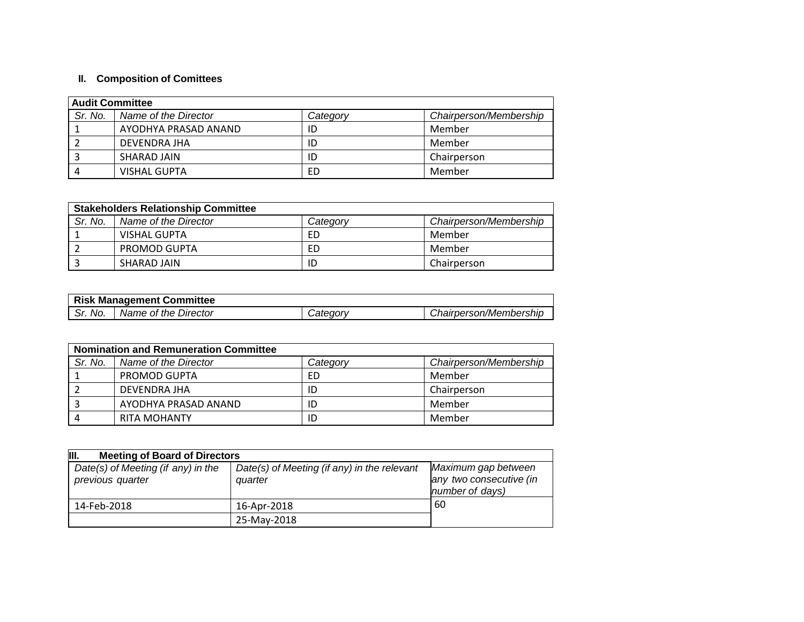## **II. Composition of Comittees**

| <b>Audit Committee</b> |                      |          |                        |  |  |
|------------------------|----------------------|----------|------------------------|--|--|
| Sr. No.                | Name of the Director | Category | Chairperson/Membership |  |  |
|                        | AYODHYA PRASAD ANAND | ID       | Member                 |  |  |
|                        | DEVENDRA JHA         | ID       | Member                 |  |  |
|                        | SHARAD JAIN          | ID       | Chairperson            |  |  |
|                        | <b>VISHAL GUPTA</b>  | ED       | Member                 |  |  |

| <b>Stakeholders Relationship Committee</b> |                      |          |                        |  |  |
|--------------------------------------------|----------------------|----------|------------------------|--|--|
| Sr. No.                                    | Name of the Director | Category | Chairperson/Membership |  |  |
|                                            | VISHAL GUPTA         | FD       | Member                 |  |  |
|                                            | PROMOD GUPTA         | ED       | Member                 |  |  |
|                                            | SHARAD JAIN          | ID       | Chairperson            |  |  |

|         | <b>Risk Management Committee</b> |                 |                        |
|---------|----------------------------------|-----------------|------------------------|
| Sr. No. | Name of the Director             | <i>Jateqorv</i> | Chairperson/Membership |

|         | <b>Nomination and Remuneration Committee</b> |          |                        |  |  |  |
|---------|----------------------------------------------|----------|------------------------|--|--|--|
| Sr. No. | Name of the Director                         | Categorv | Chairperson/Membership |  |  |  |
|         | PROMOD GUPTA                                 | ED       | Member                 |  |  |  |
|         | DEVENDRA JHA                                 | ID       | Chairperson            |  |  |  |
|         | AYODHYA PRASAD ANAND                         | ID       | Member                 |  |  |  |
|         | <b>RITA MOHANTY</b>                          | ID       | Member                 |  |  |  |

| III.<br><b>Meeting of Board of Directors</b>           |                                                        |                                                                   |  |  |  |
|--------------------------------------------------------|--------------------------------------------------------|-------------------------------------------------------------------|--|--|--|
| Date(s) of Meeting (if any) in the<br>previous quarter | Date(s) of Meeting (if any) in the relevant<br>quarter | Maximum gap between<br>any two consecutive (in<br>number of days) |  |  |  |
| 14-Feb-2018                                            | 16-Apr-2018                                            | 60                                                                |  |  |  |
|                                                        | 25-May-2018                                            |                                                                   |  |  |  |